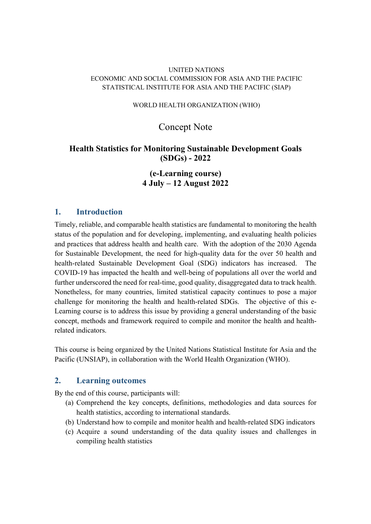### UNITED NATIONS ECONOMIC AND SOCIAL COMMISSION FOR ASIA AND THE PACIFIC STATISTICAL INSTITUTE FOR ASIA AND THE PACIFIC (SIAP)

#### WORLD HEALTH ORGANIZATION (WHO)

## Concept Note

## Health Statistics for Monitoring Sustainable Development Goals (SDGs) - 2022

## (e-Learning course) 4 July – 12 August 2022

## 1. Introduction

Timely, reliable, and comparable health statistics are fundamental to monitoring the health status of the population and for developing, implementing, and evaluating health policies and practices that address health and health care. With the adoption of the 2030 Agenda for Sustainable Development, the need for high-quality data for the over 50 health and health-related Sustainable Development Goal (SDG) indicators has increased. The COVID-19 has impacted the health and well-being of populations all over the world and further underscored the need for real-time, good quality, disaggregated data to track health. Nonetheless, for many countries, limited statistical capacity continues to pose a major challenge for monitoring the health and health-related SDGs. The objective of this e-Learning course is to address this issue by providing a general understanding of the basic concept, methods and framework required to compile and monitor the health and healthrelated indicators.

This course is being organized by the United Nations Statistical Institute for Asia and the Pacific (UNSIAP), in collaboration with the World Health Organization (WHO).

## 2. Learning outcomes

By the end of this course, participants will:

- (a) Comprehend the key concepts, definitions, methodologies and data sources for health statistics, according to international standards.
- (b) Understand how to compile and monitor health and health-related SDG indicators
- (c) Acquire a sound understanding of the data quality issues and challenges in compiling health statistics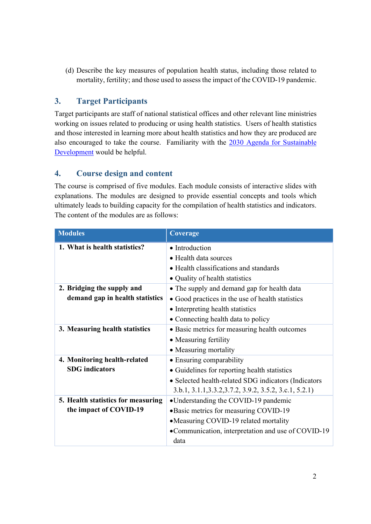(d) Describe the key measures of population health status, including those related to mortality, fertility; and those used to assess the impact of the COVID-19 pandemic.

# 3. Target Participants

Target participants are staff of national statistical offices and other relevant line ministries working on issues related to producing or using health statistics. Users of health statistics and those interested in learning more about health statistics and how they are produced are also encouraged to take the course. Familiarity with the 2030 Agenda for Sustainable Development would be helpful.

## 4. Course design and content

The course is comprised of five modules. Each module consists of interactive slides with explanations. The modules are designed to provide essential concepts and tools which ultimately leads to building capacity for the compilation of health statistics and indicators. The content of the modules are as follows:

| <b>Modules</b>                     | Coverage                                                |
|------------------------------------|---------------------------------------------------------|
| 1. What is health statistics?      | • Introduction                                          |
|                                    | • Health data sources                                   |
|                                    | • Health classifications and standards                  |
|                                    | • Quality of health statistics                          |
| 2. Bridging the supply and         | • The supply and demand gap for health data             |
| demand gap in health statistics    | • Good practices in the use of health statistics        |
|                                    | • Interpreting health statistics                        |
|                                    | • Connecting health data to policy                      |
| 3. Measuring health statistics     | • Basic metrics for measuring health outcomes           |
|                                    | • Measuring fertility                                   |
|                                    | • Measuring mortality                                   |
| 4. Monitoring health-related       | • Ensuring comparability                                |
| <b>SDG</b> indicators              | • Guidelines for reporting health statistics            |
|                                    | • Selected health-related SDG indicators (Indicators    |
|                                    | 3.b.1, 3.1.1, 3.3.2, 3.7.2, 3.9.2, 3.5.2, 3.c.1, 5.2.1) |
| 5. Health statistics for measuring | •Understanding the COVID-19 pandemic                    |
| the impact of COVID-19             | • Basic metrics for measuring COVID-19                  |
|                                    | •Measuring COVID-19 related mortality                   |
|                                    | •Communication, interpretation and use of COVID-19      |
|                                    | data                                                    |